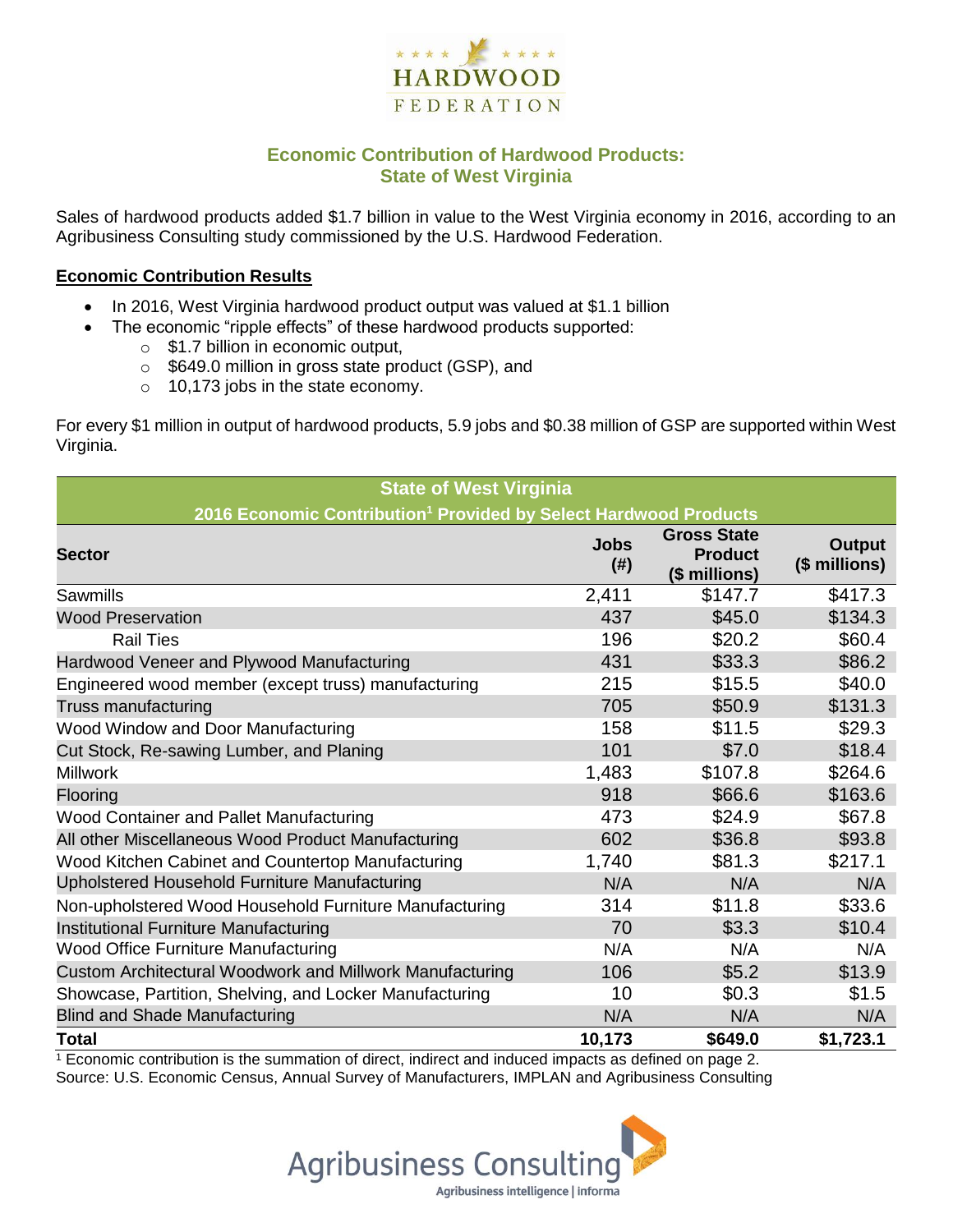

# **Economic Contribution of Hardwood Products: State of West Virginia**

Sales of hardwood products added \$1.7 billion in value to the West Virginia economy in 2016, according to an Agribusiness Consulting study commissioned by the U.S. Hardwood Federation.

#### **Economic Contribution Results**

- In 2016, West Virginia hardwood product output was valued at \$1.1 billion
	- The economic "ripple effects" of these hardwood products supported:
		- $\circ$  \$1.7 billion in economic output,
		- o \$649.0 million in gross state product (GSP), and
		- $\circ$  10,173 jobs in the state economy.

For every \$1 million in output of hardwood products, 5.9 jobs and \$0.38 million of GSP are supported within West Virginia.

| <b>State of West Virginia</b>                                                |                     |                                                       |                                |  |  |  |  |
|------------------------------------------------------------------------------|---------------------|-------------------------------------------------------|--------------------------------|--|--|--|--|
| 2016 Economic Contribution <sup>1</sup> Provided by Select Hardwood Products |                     |                                                       |                                |  |  |  |  |
| <b>Sector</b>                                                                | <b>Jobs</b><br>(# ) | <b>Gross State</b><br><b>Product</b><br>(\$ millions) | <b>Output</b><br>(\$ millions) |  |  |  |  |
| Sawmills                                                                     | 2,411               | \$147.7                                               | \$417.3                        |  |  |  |  |
| <b>Wood Preservation</b>                                                     | 437                 | \$45.0                                                | \$134.3                        |  |  |  |  |
| <b>Rail Ties</b>                                                             | 196                 | \$20.2                                                | \$60.4                         |  |  |  |  |
| Hardwood Veneer and Plywood Manufacturing                                    | 431                 | \$33.3                                                | \$86.2                         |  |  |  |  |
| Engineered wood member (except truss) manufacturing                          | 215                 | \$15.5                                                | \$40.0                         |  |  |  |  |
| Truss manufacturing                                                          | 705                 | \$50.9                                                | \$131.3                        |  |  |  |  |
| Wood Window and Door Manufacturing                                           | 158                 | \$11.5                                                | \$29.3                         |  |  |  |  |
| Cut Stock, Re-sawing Lumber, and Planing                                     | 101                 | \$7.0                                                 | \$18.4                         |  |  |  |  |
| <b>Millwork</b>                                                              | 1,483               | \$107.8                                               | \$264.6                        |  |  |  |  |
| Flooring                                                                     | 918                 | \$66.6                                                | \$163.6                        |  |  |  |  |
| Wood Container and Pallet Manufacturing                                      | 473                 | \$24.9                                                | \$67.8                         |  |  |  |  |
| All other Miscellaneous Wood Product Manufacturing                           | 602                 | \$36.8                                                | \$93.8                         |  |  |  |  |
| Wood Kitchen Cabinet and Countertop Manufacturing                            | 1,740               | \$81.3                                                | \$217.1                        |  |  |  |  |
| Upholstered Household Furniture Manufacturing                                | N/A                 | N/A                                                   | N/A                            |  |  |  |  |
| Non-upholstered Wood Household Furniture Manufacturing                       | 314                 | \$11.8                                                | \$33.6                         |  |  |  |  |
| Institutional Furniture Manufacturing                                        | 70                  | \$3.3                                                 | \$10.4                         |  |  |  |  |
| <b>Wood Office Furniture Manufacturing</b>                                   | N/A                 | N/A                                                   | N/A                            |  |  |  |  |
| Custom Architectural Woodwork and Millwork Manufacturing                     | 106                 | \$5.2                                                 | \$13.9                         |  |  |  |  |
| Showcase, Partition, Shelving, and Locker Manufacturing                      | 10                  | \$0.3                                                 | \$1.5                          |  |  |  |  |
| <b>Blind and Shade Manufacturing</b>                                         | N/A                 | N/A                                                   | N/A                            |  |  |  |  |
| <b>Total</b>                                                                 | 10,173              | \$649.0                                               | \$1,723.1                      |  |  |  |  |

 $1$  Economic contribution is the summation of direct, indirect and induced impacts as defined on page 2. Source: U.S. Economic Census, Annual Survey of Manufacturers, IMPLAN and Agribusiness Consulting